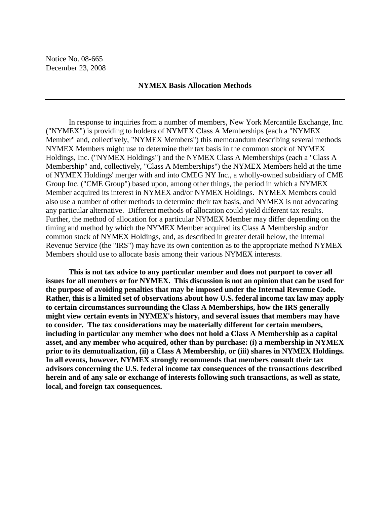#### **NYMEX Basis Allocation Methods**

In response to inquiries from a number of members, New York Mercantile Exchange, Inc. ("NYMEX") is providing to holders of NYMEX Class A Memberships (each a "NYMEX Member" and, collectively, "NYMEX Members") this memorandum describing several methods NYMEX Members might use to determine their tax basis in the common stock of NYMEX Holdings, Inc. ("NYMEX Holdings") and the NYMEX Class A Memberships (each a "Class A Membership" and, collectively, "Class A Memberships") the NYMEX Members held at the time of NYMEX Holdings' merger with and into CMEG NY Inc., a wholly-owned subsidiary of CME Group Inc. ("CME Group") based upon, among other things, the period in which a NYMEX Member acquired its interest in NYMEX and/or NYMEX Holdings. NYMEX Members could also use a number of other methods to determine their tax basis, and NYMEX is not advocating any particular alternative. Different methods of allocation could yield different tax results. Further, the method of allocation for a particular NYMEX Member may differ depending on the timing and method by which the NYMEX Member acquired its Class A Membership and/or common stock of NYMEX Holdings, and, as described in greater detail below, the Internal Revenue Service (the "IRS") may have its own contention as to the appropriate method NYMEX Members should use to allocate basis among their various NYMEX interests.

**This is not tax advice to any particular member and does not purport to cover all issues for all members or for NYMEX. This discussion is not an opinion that can be used for the purpose of avoiding penalties that may be imposed under the Internal Revenue Code. Rather, this is a limited set of observations about how U.S. federal income tax law may apply to certain circumstances surrounding the Class A Memberships, how the IRS generally might view certain events in NYMEX's history, and several issues that members may have to consider. The tax considerations may be materially different for certain members, including in particular any member who does not hold a Class A Membership as a capital asset, and any member who acquired, other than by purchase: (i) a membership in NYMEX prior to its demutualization, (ii) a Class A Membership, or (iii) shares in NYMEX Holdings. In all events, however, NYMEX strongly recommends that members consult their tax advisors concerning the U.S. federal income tax consequences of the transactions described herein and of any sale or exchange of interests following such transactions, as well as state, local, and foreign tax consequences.**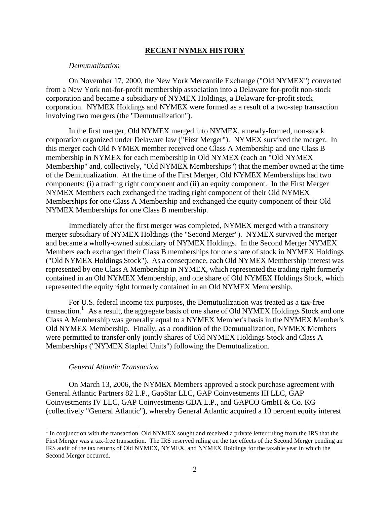#### **RECENT NYMEX HISTORY**

#### *Demutualization*

On November 17, 2000, the New York Mercantile Exchange ("Old NYMEX") converted from a New York not-for-profit membership association into a Delaware for-profit non-stock corporation and became a subsidiary of NYMEX Holdings, a Delaware for-profit stock corporation. NYMEX Holdings and NYMEX were formed as a result of a two-step transaction involving two mergers (the "Demutualization").

In the first merger, Old NYMEX merged into NYMEX, a newly-formed, non-stock corporation organized under Delaware law ("First Merger"). NYMEX survived the merger. In this merger each Old NYMEX member received one Class A Membership and one Class B membership in NYMEX for each membership in Old NYMEX (each an "Old NYMEX Membership" and, collectively, "Old NYMEX Memberships") that the member owned at the time of the Demutualization. At the time of the First Merger, Old NYMEX Memberships had two components: (i) a trading right component and (ii) an equity component. In the First Merger NYMEX Members each exchanged the trading right component of their Old NYMEX Memberships for one Class A Membership and exchanged the equity component of their Old NYMEX Memberships for one Class B membership.

Immediately after the first merger was completed, NYMEX merged with a transitory merger subsidiary of NYMEX Holdings (the "Second Merger"). NYMEX survived the merger and became a wholly-owned subsidiary of NYMEX Holdings. In the Second Merger NYMEX Members each exchanged their Class B memberships for one share of stock in NYMEX Holdings ("Old NYMEX Holdings Stock"). As a consequence, each Old NYMEX Membership interest was represented by one Class A Membership in NYMEX, which represented the trading right formerly contained in an Old NYMEX Membership, and one share of Old NYMEX Holdings Stock, which represented the equity right formerly contained in an Old NYMEX Membership.

For U.S. federal income tax purposes, the Demutualization was treated as a tax-free transaction.<sup>1</sup> As a result, the aggregate basis of one share of Old NYMEX Holdings Stock and one Class A Membership was generally equal to a NYMEX Member's basis in the NYMEX Member's Old NYMEX Membership. Finally, as a condition of the Demutualization, NYMEX Members were permitted to transfer only jointly shares of Old NYMEX Holdings Stock and Class A Memberships ("NYMEX Stapled Units") following the Demutualization.

#### *General Atlantic Transaction*

 $\overline{a}$ 

On March 13, 2006, the NYMEX Members approved a stock purchase agreement with General Atlantic Partners 82 L.P., GapStar LLC, GAP Coinvestments III LLC, GAP Coinvestments IV LLC, GAP Coinvestments CDA L.P., and GAPCO GmbH & Co. KG (collectively "General Atlantic"), whereby General Atlantic acquired a 10 percent equity interest

 $1$  In conjunction with the transaction, Old NYMEX sought and received a private letter ruling from the IRS that the First Merger was a tax-free transaction. The IRS reserved ruling on the tax effects of the Second Merger pending an IRS audit of the tax returns of Old NYMEX, NYMEX, and NYMEX Holdings for the taxable year in which the Second Merger occurred.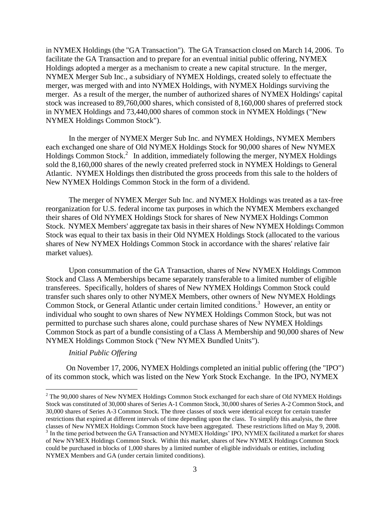in NYMEX Holdings (the "GA Transaction"). The GA Transaction closed on March 14, 2006. To facilitate the GA Transaction and to prepare for an eventual initial public offering, NYMEX Holdings adopted a merger as a mechanism to create a new capital structure. In the merger, NYMEX Merger Sub Inc., a subsidiary of NYMEX Holdings, created solely to effectuate the merger, was merged with and into NYMEX Holdings, with NYMEX Holdings surviving the merger. As a result of the merger, the number of authorized shares of NYMEX Holdings' capital stock was increased to 89,760,000 shares, which consisted of 8,160,000 shares of preferred stock in NYMEX Holdings and 73,440,000 shares of common stock in NYMEX Holdings ("New NYMEX Holdings Common Stock").

In the merger of NYMEX Merger Sub Inc. and NYMEX Holdings, NYMEX Members each exchanged one share of Old NYMEX Holdings Stock for 90,000 shares of New NYMEX Holdings Common Stock.<sup>2</sup> In addition, immediately following the merger, NYMEX Holdings sold the 8,160,000 shares of the newly created preferred stock in NYMEX Holdings to General Atlantic. NYMEX Holdings then distributed the gross proceeds from this sale to the holders of New NYMEX Holdings Common Stock in the form of a dividend.

The merger of NYMEX Merger Sub Inc. and NYMEX Holdings was treated as a tax-free reorganization for U.S. federal income tax purposes in which the NYMEX Members exchanged their shares of Old NYMEX Holdings Stock for shares of New NYMEX Holdings Common Stock. NYMEX Members' aggregate tax basis in their shares of New NYMEX Holdings Common Stock was equal to their tax basis in their Old NYMEX Holdings Stock (allocated to the various shares of New NYMEX Holdings Common Stock in accordance with the shares' relative fair market values).

Upon consummation of the GA Transaction, shares of New NYMEX Holdings Common Stock and Class A Memberships became separately transferable to a limited number of eligible transferees. Specifically, holders of shares of New NYMEX Holdings Common Stock could transfer such shares only to other NYMEX Members, other owners of New NYMEX Holdings Common Stock, or General Atlantic under certain limited conditions.<sup>3</sup> However, an entity or individual who sought to own shares of New NYMEX Holdings Common Stock, but was not permitted to purchase such shares alone, could purchase shares of New NYMEX Holdings Common Stock as part of a bundle consisting of a Class A Membership and 90,000 shares of New NYMEX Holdings Common Stock ("New NYMEX Bundled Units").

## *Initial Public Offering*

 $\overline{a}$ 

On November 17, 2006, NYMEX Holdings completed an initial public offering (the "IPO") of its common stock, which was listed on the New York Stock Exchange. In the IPO, NYMEX

<sup>&</sup>lt;sup>2</sup> The 90,000 shares of New NYMEX Holdings Common Stock exchanged for each share of Old NYMEX Holdings Stock was constituted of 30,000 shares of Series A-1 Common Stock, 30,000 shares of Series A-2 Common Stock, and 30,000 shares of Series A-3 Common Stock. The three classes of stock were identical except for certain transfer restrictions that expired at different intervals of time depending upon the class. To simplify this analysis, the three classes of New NYMEX Holdings Common Stock have been aggregated. These restrictions lifted on May 9, 2008. <sup>3</sup> In the time period between the GA Transaction and NYMEX Holdings' IPO, NYMEX facilitated a market for shares of New NYMEX Holdings Common Stock. Within this market, shares of New NYMEX Holdings Common Stock could be purchased in blocks of 1,000 shares by a limited number of eligible individuals or entities, including NYMEX Members and GA (under certain limited conditions).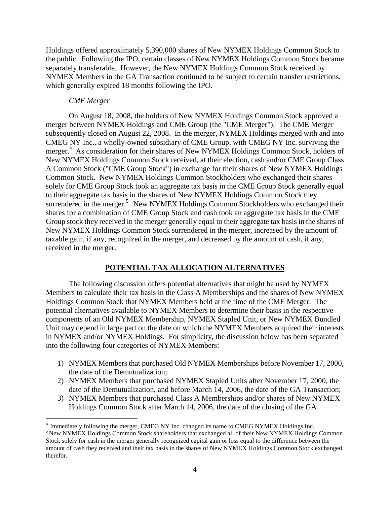Holdings offered approximately 5,390,000 shares of New NYMEX Holdings Common Stock to the public. Following the IPO, certain classes of New NYMEX Holdings Common Stock became separately transferable. However, the New NYMEX Holdings Common Stock received by NYMEX Members in the GA Transaction continued to be subject to certain transfer restrictions, which generally expired 18 months following the IPO.

## *CME Merger*

On August 18, 2008, the holders of New NYMEX Holdings Common Stock approved a merger between NYMEX Holdings and CME Group (the "CME Merger"). The CME Merger subsequently closed on August 22, 2008. In the merger, NYMEX Holdings merged with and into CMEG NY Inc., a wholly-owned subsidiary of CME Group, with CMEG NY Inc. surviving the merger. 4 As consideration for their shares of New NYMEX Holdings Common Stock, holders of New NYMEX Holdings Common Stock received, at their election, cash and/or CME Group Class A Common Stock ("CME Group Stock") in exchange for their shares of New NYMEX Holdings Common Stock. New NYMEX Holdings Common Stockholders who exchanged their shares solely for CME Group Stock took an aggregate tax basis in the CME Group Stock generally equal to their aggregate tax basis in the shares of New NYMEX Holdings Common Stock they surrendered in the merger.<sup>5</sup> New NYMEX Holdings Common Stockholders who exchanged their shares for a combination of CME Group Stock and cash took an aggregate tax basis in the CME Group stock they received in the merger generally equal to their aggregate tax basis in the shares of New NYMEX Holdings Common Stock surrendered in the merger, increased by the amount of taxable gain, if any, recognized in the merger, and decreased by the amount of cash, if any, received in the merger.

## **POTENTIAL TAX ALLOCATION ALTERNATIVES**

The following discussion offers potential alternatives that might be used by NYMEX Members to calculate their tax basis in the Class A Memberships and the shares of New NYMEX Holdings Common Stock that NYMEX Members held at the time of the CME Merger. The potential alternatives available to NYMEX Members to determine their basis in the respective components of an Old NYMEX Membership, NYMEX Stapled Unit, or New NYMEX Bundled Unit may depend in large part on the date on which the NYMEX Members acquired their interests in NYMEX and/or NYMEX Holdings. For simplicity, the discussion below has been separated into the following four categories of NYMEX Members:

- 1) NYMEX Members that purchased Old NYMEX Memberships before November 17, 2000, the date of the Demutualization;
- 2) NYMEX Members that purchased NYMEX Stapled Units after November 17, 2000, the date of the Demutualization, and before March 14, 2006, the date of the GA Transaction;
- 3) NYMEX Members that purchased Class A Memberships and/or shares of New NYMEX Holdings Common Stock after March 14, 2006, the date of the closing of the GA

 4 Immediately following the merger, CMEG NY Inc. changed its name to CMEG NYMEX Holdings Inc.

<sup>&</sup>lt;sup>5</sup> New NYMEX Holdings Common Stock shareholders that exchanged all of their New NYMEX Holdings Common Stock solely for cash in the merger generally recognized capital gain or loss equal to the difference between the amount of cash they received and their tax basis in the shares of New NYMEX Holdings Common Stock exchanged therefor.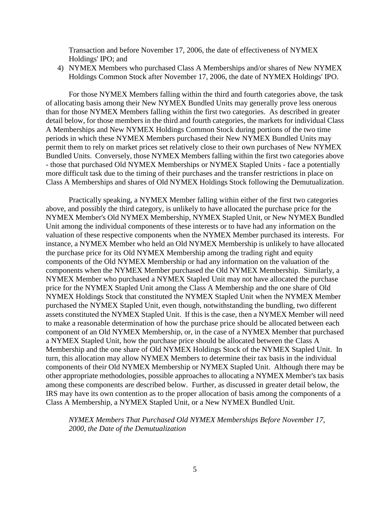Transaction and before November 17, 2006, the date of effectiveness of NYMEX Holdings' IPO; and

4) NYMEX Members who purchased Class A Memberships and/or shares of New NYMEX Holdings Common Stock after November 17, 2006, the date of NYMEX Holdings' IPO.

For those NYMEX Members falling within the third and fourth categories above, the task of allocating basis among their New NYMEX Bundled Units may generally prove less onerous than for those NYMEX Members falling within the first two categories. As described in greater detail below, for those members in the third and fourth categories, the markets for individual Class A Memberships and New NYMEX Holdings Common Stock during portions of the two time periods in which these NYMEX Members purchased their New NYMEX Bundled Units may permit them to rely on market prices set relatively close to their own purchases of New NYMEX Bundled Units. Conversely, those NYMEX Members falling within the first two categories above - those that purchased Old NYMEX Memberships or NYMEX Stapled Units - face a potentially more difficult task due to the timing of their purchases and the transfer restrictions in place on Class A Memberships and shares of Old NYMEX Holdings Stock following the Demutualization.

Practically speaking, a NYMEX Member falling within either of the first two categories above, and possibly the third category, is unlikely to have allocated the purchase price for the NYMEX Member's Old NYMEX Membership, NYMEX Stapled Unit, or New NYMEX Bundled Unit among the individual components of these interests or to have had any information on the valuation of these respective components when the NYMEX Member purchased its interests. For instance, a NYMEX Member who held an Old NYMEX Membership is unlikely to have allocated the purchase price for its Old NYMEX Membership among the trading right and equity components of the Old NYMEX Membership or had any information on the valuation of the components when the NYMEX Member purchased the Old NYMEX Membership. Similarly, a NYMEX Member who purchased a NYMEX Stapled Unit may not have allocated the purchase price for the NYMEX Stapled Unit among the Class A Membership and the one share of Old NYMEX Holdings Stock that constituted the NYMEX Stapled Unit when the NYMEX Member purchased the NYMEX Stapled Unit, even though, notwithstanding the bundling, two different assets constituted the NYMEX Stapled Unit. If this is the case, then a NYMEX Member will need to make a reasonable determination of how the purchase price should be allocated between each component of an Old NYMEX Membership, or, in the case of a NYMEX Member that purchased a NYMEX Stapled Unit, how the purchase price should be allocated between the Class A Membership and the one share of Old NYMEX Holdings Stock of the NYMEX Stapled Unit. In turn, this allocation may allow NYMEX Members to determine their tax basis in the individual components of their Old NYMEX Membership or NYMEX Stapled Unit. Although there may be other appropriate methodologies, possible approaches to allocating a NYMEX Member's tax basis among these components are described below. Further, as discussed in greater detail below, the IRS may have its own contention as to the proper allocation of basis among the components of a Class A Membership, a NYMEX Stapled Unit, or a New NYMEX Bundled Unit.

*NYMEX Members That Purchased Old NYMEX Memberships Before November 17, 2000, the Date of the Demutualization*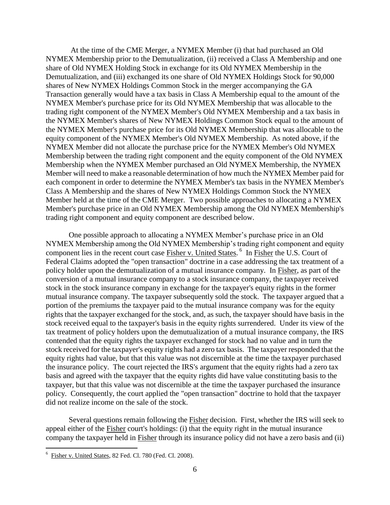At the time of the CME Merger, a NYMEX Member (i) that had purchased an Old NYMEX Membership prior to the Demutualization, (ii) received a Class A Membership and one share of Old NYMEX Holding Stock in exchange for its Old NYMEX Membership in the Demutualization, and (iii) exchanged its one share of Old NYMEX Holdings Stock for 90,000 shares of New NYMEX Holdings Common Stock in the merger accompanying the GA Transaction generally would have a tax basis in Class A Membership equal to the amount of the NYMEX Member's purchase price for its Old NYMEX Membership that was allocable to the trading right component of the NYMEX Member's Old NYMEX Membership and a tax basis in the NYMEX Member's shares of New NYMEX Holdings Common Stock equal to the amount of the NYMEX Member's purchase price for its Old NYMEX Membership that was allocable to the equity component of the NYMEX Member's Old NYMEX Membership. As noted above, if the NYMEX Member did not allocate the purchase price for the NYMEX Member's Old NYMEX Membership between the trading right component and the equity component of the Old NYMEX Membership when the NYMEX Member purchased an Old NYMEX Membership, the NYMEX Member will need to make a reasonable determination of how much the NYMEX Member paid for each component in order to determine the NYMEX Member's tax basis in the NYMEX Member's Class A Membership and the shares of New NYMEX Holdings Common Stock the NYMEX Member held at the time of the CME Merger. Two possible approaches to allocating a NYMEX Member's purchase price in an Old NYMEX Membership among the Old NYMEX Membership's trading right component and equity component are described below.

One possible approach to allocating a NYMEX Member's purchase price in an Old NYMEX Membership among the Old NYMEX Membership's trading right component and equity component lies in the recent court case Fisher v. United States.<sup>6</sup> In Fisher the U.S. Court of Federal Claims adopted the "open transaction" doctrine in a case addressing the tax treatment of a policy holder upon the demutualization of a mutual insurance company. In Fisher, as part of the conversion of a mutual insurance company to a stock insurance company, the taxpayer received stock in the stock insurance company in exchange for the taxpayer's equity rights in the former mutual insurance company. The taxpayer subsequently sold the stock. The taxpayer argued that a portion of the premiums the taxpayer paid to the mutual insurance company was for the equity rights that the taxpayer exchanged for the stock, and, as such, the taxpayer should have basis in the stock received equal to the taxpayer's basis in the equity rights surrendered. Under its view of the tax treatment of policy holders upon the demutualization of a mutual insurance company, the IRS contended that the equity rights the taxpayer exchanged for stock had no value and in turn the stock received for the taxpayer's equity rights had a zero tax basis. The taxpayer responded that the equity rights had value, but that this value was not discernible at the time the taxpayer purchased the insurance policy. The court rejected the IRS's argument that the equity rights had a zero tax basis and agreed with the taxpayer that the equity rights did have value constituting basis to the taxpayer, but that this value was not discernible at the time the taxpayer purchased the insurance policy. Consequently, the court applied the "open transaction" doctrine to hold that the taxpayer did not realize income on the sale of the stock.

Several questions remain following the Fisher decision. First, whether the IRS will seek to appeal either of the Fisher court's holdings: (i) that the equity right in the mutual insurance company the taxpayer held in Fisher through its insurance policy did not have a zero basis and (ii)

 6 Fisher v. United States, 82 Fed. Cl. 780 (Fed. Cl. 2008).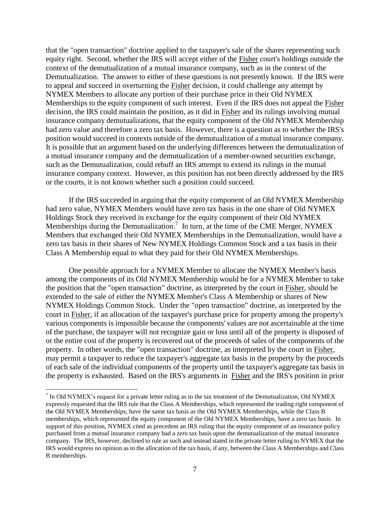that the "open transaction" doctrine applied to the taxpayer's sale of the shares representing such equity right. Second, whether the IRS will accept either of the Fisher court's holdings outside the context of the demutualization of a mutual insurance company, such as in the context of the Demutualization. The answer to either of these questions is not presently known. If the IRS were to appeal and succeed in overturning the Fisher decision, it could challenge any attempt by NYMEX Members to allocate any portion of their purchase price in their Old NYMEX Memberships to the equity component of such interest. Even if the IRS does not appeal the Fisher decision, the IRS could maintain the position, as it did in Fisher and its rulings involving mutual insurance company demutualizations, that the equity component of the Old NYMEX Membership had zero value and therefore a zero tax basis. However, there is a question as to whether the IRS's position would succeed in contexts outside of the demutualization of a mutual insurance company. It is possible that an argument based on the underlying differences between the demutualization of a mutual insurance company and the demutualization of a member-owned securities exchange, such as the Demutualization, could rebuff an IRS attempt to extend its rulings in the mutual insurance company context. However, as this position has not been directly addressed by the IRS or the courts, it is not known whether such a position could succeed.

If the IRS succeeded in arguing that the equity component of an Old NYMEX Membership had zero value, NYMEX Members would have zero tax basis in the one share of Old NYMEX Holdings Stock they received in exchange for the equity component of their Old NYMEX Memberships during the Demutualization.<sup>7</sup> In turn, at the time of the CME Merger, NYMEX Members that exchanged their Old NYMEX Memberships in the Demutualization, would have a zero tax basis in their shares of New NYMEX Holdings Common Stock and a tax basis in their Class A Membership equal to what they paid for their Old NYMEX Memberships.

One possible approach for a NYMEX Member to allocate the NYMEX Member's basis among the components of its Old NYMEX Membership would be for a NYMEX Member to take the position that the "open transaction" doctrine, as interpreted by the court in Fisher, should be extended to the sale of either the NYMEX Member's Class A Membership or shares of New NYMEX Holdings Common Stock. Under the "open transaction" doctrine, as interpreted by the court in Fisher, if an allocation of the taxpayer's purchase price for property among the property's various components is impossible because the components' values are not ascertainable at the time of the purchase, the taxpayer will not recognize gain or loss until all of the property is disposed of or the entire cost of the property is recovered out of the proceeds of sales of the components of the property. In other words, the "open transaction" doctrine, as interpreted by the court in Fisher, may permit a taxpayer to reduce the taxpayer's aggregate tax basis in the property by the proceeds of each sale of the individual components of the property until the taxpayer's aggregate tax basis in the property is exhausted. Based on the IRS's arguments in Fisher and the IRS's position in prior

 $\overline{a}$ 

 $<sup>7</sup>$  In Old NYMEX's request for a private letter ruling as to the tax treatment of the Demutualization, Old NYMEX</sup> expressly requested that the IRS rule that the Class A Memberships, which represented the trading right component of the Old NYMEX Memberships, have the same tax basis as the Old NYMEX Memberships, while the Class B memberships, which represented the equity component of the Old NYMEX Memberships, have a zero tax basis. In support of this position, NYMEX cited as precedent an IRS ruling that the equity component of an insurance policy purchased from a mutual insurance company had a zero tax basis upon the demutualization of the mutual insurance company. The IRS, however, declined to rule as such and instead stated in the private letter ruling to NYMEX that the IRS would express no opinion as to the allocation of the tax basis, if any, between the Class A Memberships and Class B memberships.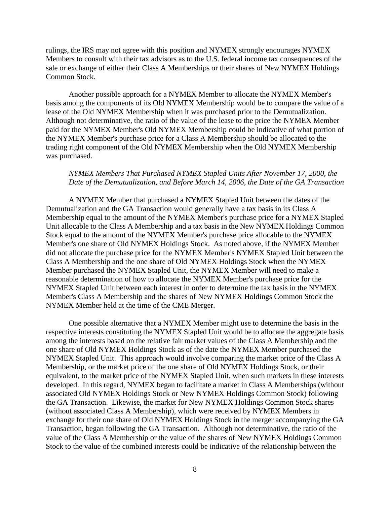rulings, the IRS may not agree with this position and NYMEX strongly encourages NYMEX Members to consult with their tax advisors as to the U.S. federal income tax consequences of the sale or exchange of either their Class A Memberships or their shares of New NYMEX Holdings Common Stock.

Another possible approach for a NYMEX Member to allocate the NYMEX Member's basis among the components of its Old NYMEX Membership would be to compare the value of a lease of the Old NYMEX Membership when it was purchased prior to the Demutualization. Although not determinative, the ratio of the value of the lease to the price the NYMEX Member paid for the NYMEX Member's Old NYMEX Membership could be indicative of what portion of the NYMEX Member's purchase price for a Class A Membership should be allocated to the trading right component of the Old NYMEX Membership when the Old NYMEX Membership was purchased.

#### *NYMEX Members That Purchased NYMEX Stapled Units After November 17, 2000, the Date of the Demutualization, and Before March 14, 2006, the Date of the GA Transaction*

A NYMEX Member that purchased a NYMEX Stapled Unit between the dates of the Demutualization and the GA Transaction would generally have a tax basis in its Class A Membership equal to the amount of the NYMEX Member's purchase price for a NYMEX Stapled Unit allocable to the Class A Membership and a tax basis in the New NYMEX Holdings Common Stock equal to the amount of the NYMEX Member's purchase price allocable to the NYMEX Member's one share of Old NYMEX Holdings Stock. As noted above, if the NYMEX Member did not allocate the purchase price for the NYMEX Member's NYMEX Stapled Unit between the Class A Membership and the one share of Old NYMEX Holdings Stock when the NYMEX Member purchased the NYMEX Stapled Unit, the NYMEX Member will need to make a reasonable determination of how to allocate the NYMEX Member's purchase price for the NYMEX Stapled Unit between each interest in order to determine the tax basis in the NYMEX Member's Class A Membership and the shares of New NYMEX Holdings Common Stock the NYMEX Member held at the time of the CME Merger.

One possible alternative that a NYMEX Member might use to determine the basis in the respective interests constituting the NYMEX Stapled Unit would be to allocate the aggregate basis among the interests based on the relative fair market values of the Class A Membership and the one share of Old NYMEX Holdings Stock as of the date the NYMEX Member purchased the NYMEX Stapled Unit. This approach would involve comparing the market price of the Class A Membership, or the market price of the one share of Old NYMEX Holdings Stock, or their equivalent, to the market price of the NYMEX Stapled Unit, when such markets in these interests developed. In this regard, NYMEX began to facilitate a market in Class A Memberships (without associated Old NYMEX Holdings Stock or New NYMEX Holdings Common Stock) following the GA Transaction. Likewise, the market for New NYMEX Holdings Common Stock shares (without associated Class A Membership), which were received by NYMEX Members in exchange for their one share of Old NYMEX Holdings Stock in the merger accompanying the GA Transaction, began following the GA Transaction. Although not determinative, the ratio of the value of the Class A Membership or the value of the shares of New NYMEX Holdings Common Stock to the value of the combined interests could be indicative of the relationship between the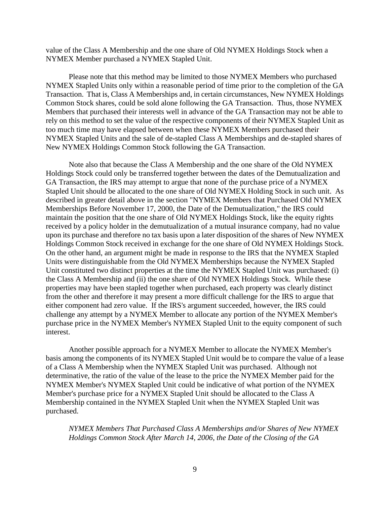value of the Class A Membership and the one share of Old NYMEX Holdings Stock when a NYMEX Member purchased a NYMEX Stapled Unit.

Please note that this method may be limited to those NYMEX Members who purchased NYMEX Stapled Units only within a reasonable period of time prior to the completion of the GA Transaction. That is, Class A Memberships and, in certain circumstances, New NYMEX Holdings Common Stock shares, could be sold alone following the GA Transaction. Thus, those NYMEX Members that purchased their interests well in advance of the GA Transaction may not be able to rely on this method to set the value of the respective components of their NYMEX Stapled Unit as too much time may have elapsed between when these NYMEX Members purchased their NYMEX Stapled Units and the sale of de-stapled Class A Memberships and de-stapled shares of New NYMEX Holdings Common Stock following the GA Transaction.

Note also that because the Class A Membership and the one share of the Old NYMEX Holdings Stock could only be transferred together between the dates of the Demutualization and GA Transaction, the IRS may attempt to argue that none of the purchase price of a NYMEX Stapled Unit should be allocated to the one share of Old NYMEX Holding Stock in such unit. As described in greater detail above in the section "NYMEX Members that Purchased Old NYMEX Memberships Before November 17, 2000, the Date of the Demutualization," the IRS could maintain the position that the one share of Old NYMEX Holdings Stock, like the equity rights received by a policy holder in the demutualization of a mutual insurance company, had no value upon its purchase and therefore no tax basis upon a later disposition of the shares of New NYMEX Holdings Common Stock received in exchange for the one share of Old NYMEX Holdings Stock. On the other hand, an argument might be made in response to the IRS that the NYMEX Stapled Units were distinguishable from the Old NYMEX Memberships because the NYMEX Stapled Unit constituted two distinct properties at the time the NYMEX Stapled Unit was purchased: (i) the Class A Membership and (ii) the one share of Old NYMEX Holdings Stock. While these properties may have been stapled together when purchased, each property was clearly distinct from the other and therefore it may present a more difficult challenge for the IRS to argue that either component had zero value. If the IRS's argument succeeded, however, the IRS could challenge any attempt by a NYMEX Member to allocate any portion of the NYMEX Member's purchase price in the NYMEX Member's NYMEX Stapled Unit to the equity component of such interest.

Another possible approach for a NYMEX Member to allocate the NYMEX Member's basis among the components of its NYMEX Stapled Unit would be to compare the value of a lease of a Class A Membership when the NYMEX Stapled Unit was purchased. Although not determinative, the ratio of the value of the lease to the price the NYMEX Member paid for the NYMEX Member's NYMEX Stapled Unit could be indicative of what portion of the NYMEX Member's purchase price for a NYMEX Stapled Unit should be allocated to the Class A Membership contained in the NYMEX Stapled Unit when the NYMEX Stapled Unit was purchased.

*NYMEX Members That Purchased Class A Memberships and/or Shares of New NYMEX Holdings Common Stock After March 14, 2006, the Date of the Closing of the GA*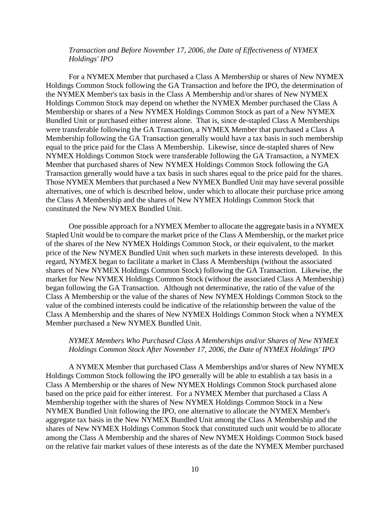### *Transaction and Before November 17, 2006, the Date of Effectiveness of NYMEX Holdings' IPO*

For a NYMEX Member that purchased a Class A Membership or shares of New NYMEX Holdings Common Stock following the GA Transaction and before the IPO, the determination of the NYMEX Member's tax basis in the Class A Membership and/or shares of New NYMEX Holdings Common Stock may depend on whether the NYMEX Member purchased the Class A Membership or shares of a New NYMEX Holdings Common Stock as part of a New NYMEX Bundled Unit or purchased either interest alone. That is, since de-stapled Class A Memberships were transferable following the GA Transaction, a NYMEX Member that purchased a Class A Membership following the GA Transaction generally would have a tax basis in such membership equal to the price paid for the Class A Membership. Likewise, since de-stapled shares of New NYMEX Holdings Common Stock were transferable following the GA Transaction, a NYMEX Member that purchased shares of New NYMEX Holdings Common Stock following the GA Transaction generally would have a tax basis in such shares equal to the price paid for the shares. Those NYMEX Members that purchased a New NYMEX Bundled Unit may have several possible alternatives, one of which is described below, under which to allocate their purchase price among the Class A Membership and the shares of New NYMEX Holdings Common Stock that constituted the New NYMEX Bundled Unit.

One possible approach for a NYMEX Member to allocate the aggregate basis in a NYMEX Stapled Unit would be to compare the market price of the Class A Membership, or the market price of the shares of the New NYMEX Holdings Common Stock, or their equivalent, to the market price of the New NYMEX Bundled Unit when such markets in these interests developed. In this regard, NYMEX began to facilitate a market in Class A Memberships (without the associated shares of New NYMEX Holdings Common Stock) following the GA Transaction. Likewise, the market for New NYMEX Holdings Common Stock (without the associated Class A Membership) began following the GA Transaction. Although not determinative, the ratio of the value of the Class A Membership or the value of the shares of New NYMEX Holdings Common Stock to the value of the combined interests could be indicative of the relationship between the value of the Class A Membership and the shares of New NYMEX Holdings Common Stock when a NYMEX Member purchased a New NYMEX Bundled Unit.

#### *NYMEX Members Who Purchased Class A Memberships and/or Shares of New NYMEX Holdings Common Stock After November 17, 2006, the Date of NYMEX Holdings' IPO*

A NYMEX Member that purchased Class A Memberships and/or shares of New NYMEX Holdings Common Stock following the IPO generally will be able to establish a tax basis in a Class A Membership or the shares of New NYMEX Holdings Common Stock purchased alone based on the price paid for either interest. For a NYMEX Member that purchased a Class A Membership together with the shares of New NYMEX Holdings Common Stock in a New NYMEX Bundled Unit following the IPO, one alternative to allocate the NYMEX Member's aggregate tax basis in the New NYMEX Bundled Unit among the Class A Membership and the shares of New NYMEX Holdings Common Stock that constituted such unit would be to allocate among the Class A Membership and the shares of New NYMEX Holdings Common Stock based on the relative fair market values of these interests as of the date the NYMEX Member purchased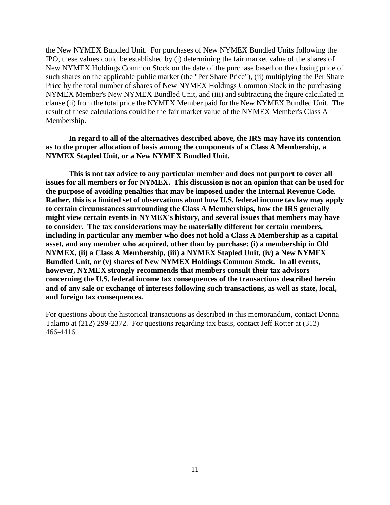the New NYMEX Bundled Unit. For purchases of New NYMEX Bundled Units following the IPO, these values could be established by (i) determining the fair market value of the shares of New NYMEX Holdings Common Stock on the date of the purchase based on the closing price of such shares on the applicable public market (the "Per Share Price"), (ii) multiplying the Per Share Price by the total number of shares of New NYMEX Holdings Common Stock in the purchasing NYMEX Member's New NYMEX Bundled Unit, and (iii) and subtracting the figure calculated in clause (ii) from the total price the NYMEX Member paid for the New NYMEX Bundled Unit. The result of these calculations could be the fair market value of the NYMEX Member's Class A Membership.

## **In regard to all of the alternatives described above, the IRS may have its contention as to the proper allocation of basis among the components of a Class A Membership, a NYMEX Stapled Unit, or a New NYMEX Bundled Unit.**

**This is not tax advice to any particular member and does not purport to cover all issues for all members or for NYMEX. This discussion is not an opinion that can be used for the purpose of avoiding penalties that may be imposed under the Internal Revenue Code. Rather, this is a limited set of observations about how U.S. federal income tax law may apply to certain circumstances surrounding the Class A Memberships, how the IRS generally might view certain events in NYMEX's history, and several issues that members may have to consider. The tax considerations may be materially different for certain members, including in particular any member who does not hold a Class A Membership as a capital asset, and any member who acquired, other than by purchase: (i) a membership in Old NYMEX, (ii) a Class A Membership, (iii) a NYMEX Stapled Unit, (iv) a New NYMEX Bundled Unit, or (v) shares of New NYMEX Holdings Common Stock. In all events, however, NYMEX strongly recommends that members consult their tax advisors concerning the U.S. federal income tax consequences of the transactions described herein and of any sale or exchange of interests following such transactions, as well as state, local, and foreign tax consequences.** 

For questions about the historical transactions as described in this memorandum, contact Donna Talamo at (212) 299-2372. For questions regarding tax basis, contact Jeff Rotter at (312) 466-4416.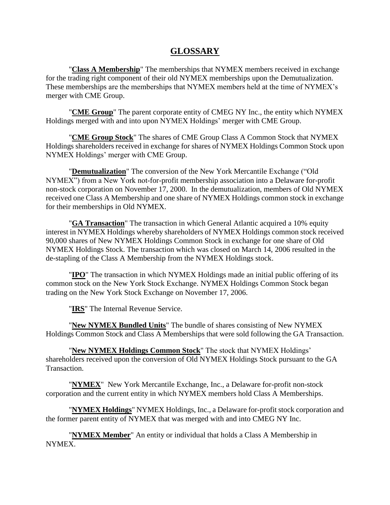# **GLOSSARY**

"**Class A Membership**" The memberships that NYMEX members received in exchange for the trading right component of their old NYMEX memberships upon the Demutualization. These memberships are the memberships that NYMEX members held at the time of NYMEX's merger with CME Group.

"**CME Group**" The parent corporate entity of CMEG NY Inc., the entity which NYMEX Holdings merged with and into upon NYMEX Holdings' merger with CME Group.

"**CME Group Stock**" The shares of CME Group Class A Common Stock that NYMEX Holdings shareholders received in exchange for shares of NYMEX Holdings Common Stock upon NYMEX Holdings' merger with CME Group.

"**Demutualization**" The conversion of the New York Mercantile Exchange ("Old NYMEX") from a New York not-for-profit membership association into a Delaware for-profit non-stock corporation on November 17, 2000. In the demutualization, members of Old NYMEX received one Class A Membership and one share of NYMEX Holdings common stock in exchange for their memberships in Old NYMEX.

"**GA Transaction**" The transaction in which General Atlantic acquired a 10% equity interest in NYMEX Holdings whereby shareholders of NYMEX Holdings common stock received 90,000 shares of New NYMEX Holdings Common Stock in exchange for one share of Old NYMEX Holdings Stock. The transaction which was closed on March 14, 2006 resulted in the de-stapling of the Class A Membership from the NYMEX Holdings stock.

"**IPO**" The transaction in which NYMEX Holdings made an initial public offering of its common stock on the New York Stock Exchange. NYMEX Holdings Common Stock began trading on the New York Stock Exchange on November 17, 2006.

"**IRS**" The Internal Revenue Service.

"**New NYMEX Bundled Units**" The bundle of shares consisting of New NYMEX Holdings Common Stock and Class A Memberships that were sold following the GA Transaction.

"**New NYMEX Holdings Common Stock**" The stock that NYMEX Holdings' shareholders received upon the conversion of Old NYMEX Holdings Stock pursuant to the GA Transaction.

"**NYMEX**" New York Mercantile Exchange, Inc., a Delaware for-profit non-stock corporation and the current entity in which NYMEX members hold Class A Memberships.

"**NYMEX Holdings**" NYMEX Holdings, Inc., a Delaware for-profit stock corporation and the former parent entity of NYMEX that was merged with and into CMEG NY Inc.

"**NYMEX Member**" An entity or individual that holds a Class A Membership in NYMEX.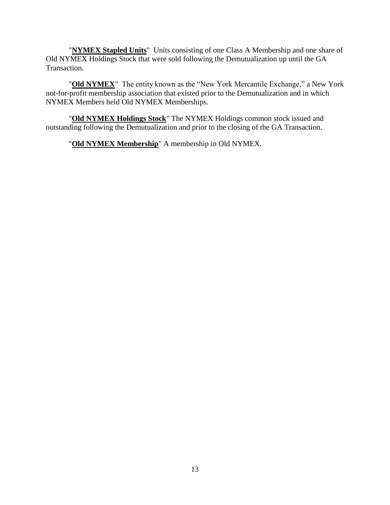"**NYMEX Stapled Units**" Units consisting of one Class A Membership and one share of Old NYMEX Holdings Stock that were sold following the Demutualization up until the GA Transaction.

"**Old NYMEX**" The entity known as the "New York Mercantile Exchange," a New York not-for-profit membership association that existed prior to the Demutualization and in which NYMEX Members held Old NYMEX Memberships.

"**Old NYMEX Holdings Stock**" The NYMEX Holdings common stock issued and outstanding following the Demutualization and prior to the closing of the GA Transaction.

"**Old NYMEX Membership**" A membership in Old NYMEX.